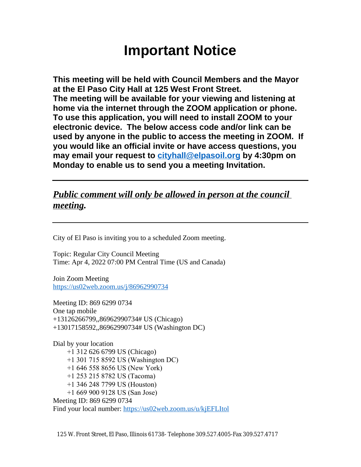# **Important Notice**

**This meeting will be held with Council Members and the Mayor at the El Paso City Hall at 125 West Front Street. The meeting will be available for your viewing and listening at home via the internet through the ZOOM application or phone. To use this application, you will need to install ZOOM to your electronic device. The below access code and/or link can be used by anyone in the public to access the meeting in ZOOM. If you would like an official invite or have access questions, you may email your request to [cityhall@elpasoil.org](mailto:cityhall@elpasoil.org) by 4:30pm on Monday to enable us to send you a meeting Invitation.**

# *Public comment will only be allowed in person at the council meeting.*

City of El Paso is inviting you to a scheduled Zoom meeting.

Topic: Regular City Council Meeting Time: Apr 4, 2022 07:00 PM Central Time (US and Canada)

Join Zoom Meeting <https://us02web.zoom.us/j/86962990734>

Meeting ID: 869 6299 0734 One tap mobile +13126266799,,86962990734# US (Chicago) +13017158592,,86962990734# US (Washington DC)

Dial by your location +1 312 626 6799 US (Chicago) +1 301 715 8592 US (Washington DC) +1 646 558 8656 US (New York) +1 253 215 8782 US (Tacoma) +1 346 248 7799 US (Houston) +1 669 900 9128 US (San Jose) Meeting ID: 869 6299 0734 Find your local number:<https://us02web.zoom.us/u/kjEFLItol>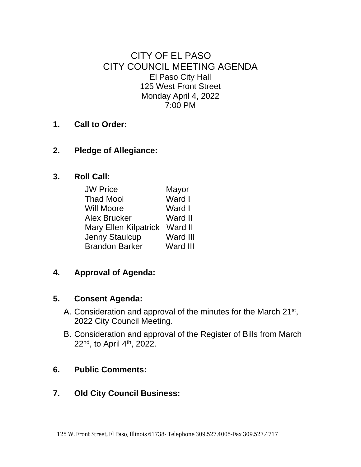CITY OF EL PASO CITY COUNCIL MEETING AGENDA El Paso City Hall 125 West Front Street Monday April 4, 2022 7:00 PM

- **1. Call to Order:**
- **2. Pledge of Allegiance:**
- **3. Roll Call:**

| <b>JW Price</b>              | Mayor    |
|------------------------------|----------|
| <b>Thad Mool</b>             | Ward I   |
| <b>Will Moore</b>            | Ward I   |
| Alex Brucker                 | Ward II  |
| <b>Mary Ellen Kilpatrick</b> | Ward II  |
| Jenny Staulcup               | Ward III |
| <b>Brandon Barker</b>        | Ward III |

**4. Approval of Agenda:**

### **5. Consent Agenda:**

- A. Consideration and approval of the minutes for the March 21<sup>st</sup>, 2022 City Council Meeting.
- B. Consideration and approval of the Register of Bills from March 22<sup>nd</sup>, to April 4<sup>th</sup>, 2022.

# **6. Public Comments:**

# **7. Old City Council Business:**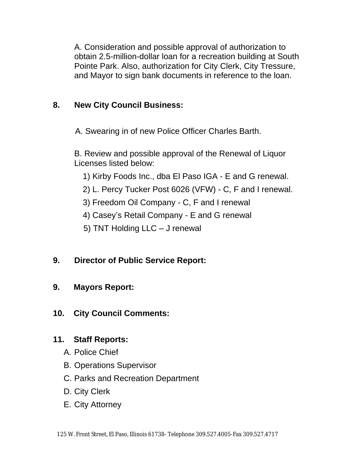A. Consideration and possible approval of authorization to obtain 2.5-million-dollar loan for a recreation building at South Pointe Park. Also, authorization for City Clerk, City Tressure, and Mayor to sign bank documents in reference to the loan.

# **8. New City Council Business:**

A. Swearing in of new Police Officer Charles Barth.

B. Review and possible approval of the Renewal of Liquor Licenses listed below:

- 1) Kirby Foods Inc., dba El Paso IGA E and G renewal.
- 2) L. Percy Tucker Post 6026 (VFW) C, F and I renewal.
- 3) Freedom Oil Company C, F and I renewal
- 4) Casey's Retail Company E and G renewal
- 5) TNT Holding LLC J renewal

# **9. Director of Public Service Report:**

# **9. Mayors Report:**

### **10. City Council Comments:**

### **11. Staff Reports:**

- A. Police Chief
- B. Operations Supervisor
- C. Parks and Recreation Department
- D. City Clerk
- E. City Attorney